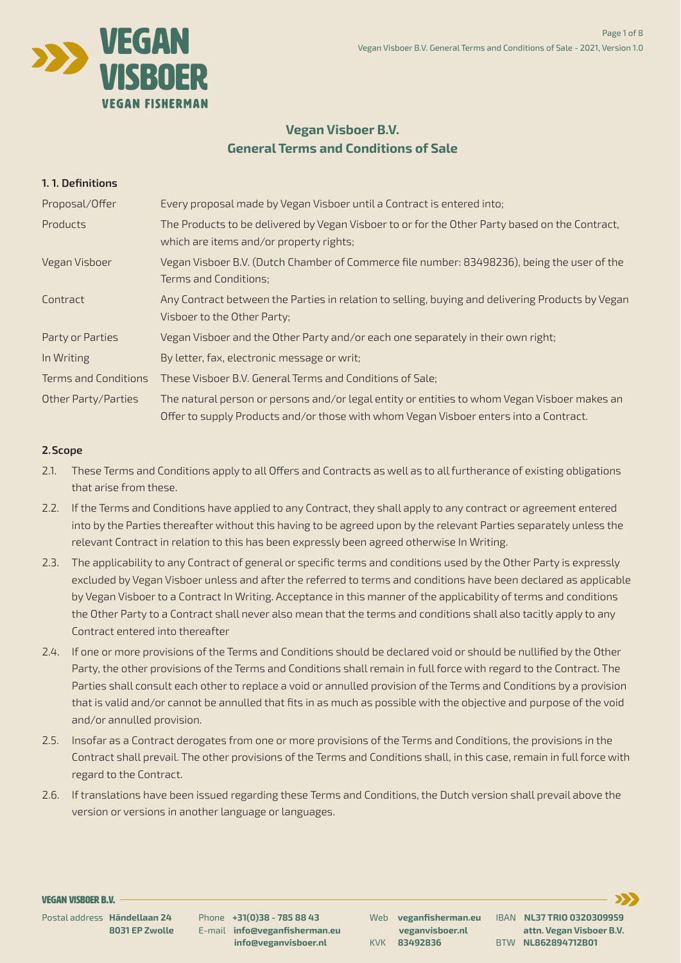

# **Vegan Visboer B.V. General Terms and Conditions of Sale**

### **1. 1. Definitions**

Proposal/Offer Every proposal made by Vegan Visboer until a Contract is entered into;

Products The Products to be delivered by Vegan Visboer to or for the Other Party based on the Contract, which are items and/or property rights;

2.1. These Terms and Conditions apply to all Offers and Contracts as well as to all furtherance of existing obligations that arise from these.

| Vegan Visboer B.V. (Dutch Chamber of Commerce file number: 83498236), being the user of the<br>Vegan Visboer<br><b>Terms and Conditions;</b><br>Any Contract between the Parties in relation to selling, buying and delivering Products by Vegan<br>Contract<br>Visboer to the Other Party;<br>Vegan Visboer and the Other Party and/or each one separately in their own right;<br>Party or Parties<br>By letter, fax, electronic message or writ;<br>In Writing<br>These Visboer B.V. General Terms and Conditions of Sale;<br><b>Terms and Conditions</b><br>The natural person or persons and/or legal entity or entities to whom Vegan Visboer makes an<br>Other Party/Parties<br>Offer to supply Products and/or those with whom Vegan Visboer enters into a Contract. |  |
|-----------------------------------------------------------------------------------------------------------------------------------------------------------------------------------------------------------------------------------------------------------------------------------------------------------------------------------------------------------------------------------------------------------------------------------------------------------------------------------------------------------------------------------------------------------------------------------------------------------------------------------------------------------------------------------------------------------------------------------------------------------------------------|--|
|                                                                                                                                                                                                                                                                                                                                                                                                                                                                                                                                                                                                                                                                                                                                                                             |  |
|                                                                                                                                                                                                                                                                                                                                                                                                                                                                                                                                                                                                                                                                                                                                                                             |  |
|                                                                                                                                                                                                                                                                                                                                                                                                                                                                                                                                                                                                                                                                                                                                                                             |  |
|                                                                                                                                                                                                                                                                                                                                                                                                                                                                                                                                                                                                                                                                                                                                                                             |  |
|                                                                                                                                                                                                                                                                                                                                                                                                                                                                                                                                                                                                                                                                                                                                                                             |  |
|                                                                                                                                                                                                                                                                                                                                                                                                                                                                                                                                                                                                                                                                                                                                                                             |  |

# **2. Scope**

- 2.2. If the Terms and Conditions have applied to any Contract, they shall apply to any contract or agreement entered into by the Parties thereafter without this having to be agreed upon by the relevant Parties separately unless the relevant Contract in relation to this has been expressly been agreed otherwise In Writing.
- 2.3. The applicability to any Contract of general or specific terms and conditions used by the Other Party is expressly excluded by Vegan Visboer unless and after the referred to terms and conditions have been declared as applicable by Vegan Visboerto a Contract In Writing. Acceptance in this manner of the applicability of terms and conditions the Other Party to a Contract shall never also mean that the terms and conditions shall also tacitly apply to any Contract entered into thereafter
- 2.4. If one or more provisions of the Terms and Conditions should be declared void or should be nullified by the Other Party, the other provisions of the Terms and Conditions shall remain in fullforce with regard to the Contract. The Parties shall consult each other to replace a void or annulled provision of the Terms and Conditions by a provision that is valid and/or cannot be annulled that fits in as much as possible with the objective and purpose of the void and/or annulled provision.
- 2.5. Insofar as a Contract derogates from one or more provisions of the Terms and Conditions, the provisions in the Contract shall prevail. The other provisions of the Terms and Conditions shall, in this case, remain in fullforce with regard to the Contract.
- 2.6. If translations have been issued regarding these Terms and Conditions, the Dutch version shall prevail above the version or versions in another language or languages.

Page 1 of 8

Vegan Visboer B.V. General Terms and Conditions of Sale - 2021, Version 1.0

Postal address **Händellaan 24 8031 EP Zwolle**

Phone **+31(0)38 - 785 88 43** E-mail **info@veganfisherman.eu info@veganvisboer.nl**

Web **veganfisherman.eu veganvisboer.nl** KVK **83492836**

IBAN **NL37 TRIO 0320309959 attn. Vegan Visboer B.V.** BTW **NL862894712B01**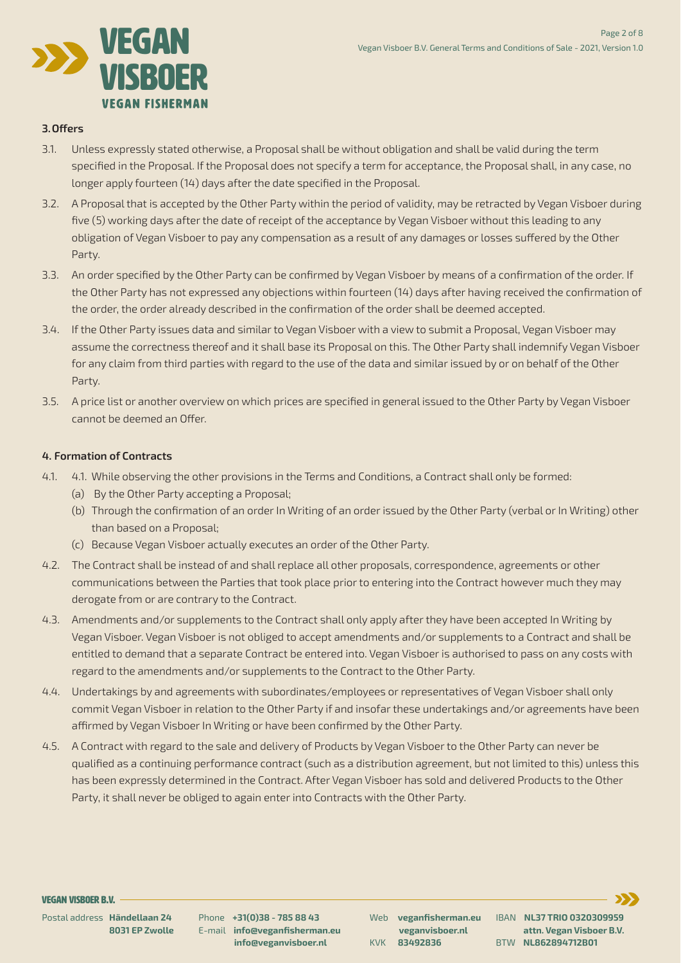

# **3. Offers**

- 3.1. Unless expressly stated otherwise, a Proposal shall be without obligation and shall be valid during the term specified in the Proposal. If the Proposal does not specify a term for acceptance, the Proposal shall, in any case, no longer apply fourteen (14) days afterthe date specified in the Proposal.
- 3.2. A Proposal that is accepted by the Other Party within the period of validity, may be retracted by Vegan Visboer during five (5) working days afterthe date of receipt of the acceptance by Vegan Visboer without this leading to any obligation of Vegan Visboerto pay any compensation as a result of any damages or losses suffered by the Other

#### Party.

- 3.3. An order specified by the Other Party can be confirmed by Vegan Visboer by means of a confirmation of the order. If the Other Party has not expressed any objections within fourteen (14) days after having received the confirmation of the order, the order already described in the confirmation of the order shall be deemed accepted.
- 3.4. If the Other Party issues data and similar to Vegan Visboer with a view to submit a Proposal, Vegan Visboer may assume the correctness thereof and it shall base its Proposal on this. The Other Party shall indemnify Vegan Visboer for any claim from third parties with regard to the use of the data and similar issued by or on behalf of the Other Party.
- 3.5. A price list or another overview on which prices are specified in general issued to the Other Party by Vegan Visboer cannot be deemed an Offer.

- 4.1. 4.1. While observing the other provisions in the Terms and Conditions, a Contract shall only be formed:
	- (a) By the Other Party accepting a Proposal;
	- (b) Through the confirmation of an order In Writing of an order issued by the Other Party (verbal or In Writing) other than based on a Proposal;
	- (c) Because Vegan Visboer actually executes an order of the Other Party.
- 4.2. The Contract shall be instead of and shall replace all other proposals, correspondence, agreements or other communications between the Parties that took place prior to entering into the Contract however much they may derogate from or are contrary to the Contract.
- 4.3. Amendments and/or supplements to the Contract shall only apply after they have been accepted In Writing by Vegan Visboer. Vegan Visboer is not obliged to accept amendments and/or supplements to a Contract and shall be entitled to demand that a separate Contract be entered into. Vegan Visboer is authorised to pass on any costs with regard to the amendments and/or supplements to the Contract to the Other Party.
- 4.4. Undertakings by and agreements with subordinates/employees or representatives of Vegan Visboer shall only commit Vegan Visboer in relation to the Other Party if and insofarthese undertakings and/or agreements have been affirmed by Vegan Visboer In Writing or have been confirmed by the Other Party.

### **4. Formation of Contracts**

4.5. A Contract with regard to the sale and delivery of Products by Vegan Visboer to the Other Party can never be qualified as a continuing performance contract (such as a distribution agreement, but not limited to this) unless this has been expressly determined in the Contract. After Vegan Visboer has sold and delivered Products to the Other Party, it shall never be obliged to again enter into Contracts with the Other Party.

Page 2 of 8

Vegan Visboer B.V. General Terms and Conditions of Sale - 2021, Version 1.0

Postal address **Händellaan 24 8031 EP Zwolle** Phone **+31(0)38 - 785 88 43** E-mail **info@veganfisherman.eu info@veganvisboer.nl**

Web **veganfisherman.eu veganvisboer.nl** KVK **83492836** IBAN **NL37 TRIO 0320309959 attn. Vegan Visboer B.V.** BTW **NL862894712B01**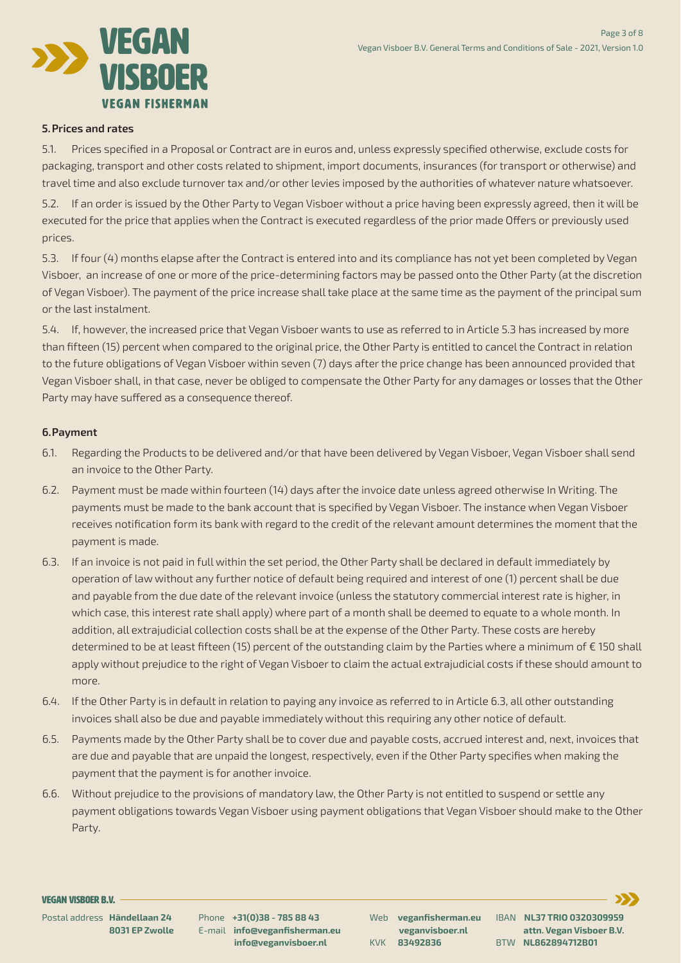

### **5. Prices and rates**

5.1. Prices specified in a Proposal or Contract are in euros and, unless expressly specified otherwise, exclude costs for packaging, transport and other costs related to shipment, import documents, insurances (fortransport or otherwise) and travel time and also exclude turnover tax and/or other levies imposed by the authorities of whatever nature whatsoever.

5.2. If an order is issued by the Other Party to Vegan Visboer without a price having been expressly agreed, then it will be executed for the price that applies when the Contract is executed regardless of the prior made Offers or previously used prices.

5.3. If four (4) months elapse after the Contract is entered into and its compliance has not yet been completed by Vegan Visboer, an increase of one or more of the price-determining factors may be passed onto the Other Party (at the discretion of Vegan Visboer). The payment of the price increase shall take place at the same time as the payment of the principal sum orthe last instalment.

5.4. If, however, the increased price that Vegan Visboer wants to use as referred to in Article 5.3 has increased by more than fifteen (15) percent when compared to the original price, the Other Party is entitled to cancelthe Contract in relation to the future obligations of Vegan Visboer within seven (7) days afterthe price change has been announced provided that Vegan Visboer shall, in that case, never be obliged to compensate the Other Party for any damages or losses that the Other Party may have suffered as a consequence thereof.

### **6. Payment**

- 6.1. Regarding the Products to be delivered and/or that have been delivered by Vegan Visboer, Vegan Visboer shall send an invoice to the Other Party.
- 6.2. Payment must be made within fourteen (14) days after the invoice date unless agreed otherwise In Writing. The payments must be made to the bank account that is specified by Vegan Visboer. The instance when Vegan Visboer receives notification form its bank with regard to the credit of the relevant amount determines the moment that the payment is made.
- 6.3. If an invoice is not paid in full within the set period, the Other Party shall be declared in default immediately by operation of law without any further notice of default being required and interest of one (1) percent shall be due and payable from the due date of the relevant invoice (unless the statutory commercial interest rate is higher, in which case, this interest rate shall apply) where part of a month shall be deemed to equate to a whole month. In addition, all extrajudicial collection costs shall be at the expense of the Other Party. These costs are hereby determined to be at least fifteen (15) percent of the outstanding claim by the Parties where a minimum of  $\epsilon$  150 shall apply without prejudice to the right of Vegan Visboerto claim the actual extrajudicial costs if these should amount to more.
- 6.4. If the Other Party is in default in relation to paying any invoice as referred to in Article 6.3, all other outstanding invoices shall also be due and payable immediately without this requiring any other notice of default.
- 6.5. Payments made by the Other Party shall be to cover due and payable costs, accrued interest and, next, invoices that are due and payable that are unpaid the longest, respectively, even if the Other Party specifies when making the payment that the payment is for another invoice.
- 6.6. Without prejudice to the provisions of mandatory law, the Other Party is not entitled to suspend or settle any payment obligations towards Vegan Visboer using payment obligations that Vegan Visboer should make to the Other Party.

Page 3 of 8

Vegan Visboer B.V. General Terms and Conditions of Sale - 2021, Version 1.0

Postal address **Händellaan 24 8031 EP Zwolle**

Phone **+31(0)38 - 785 88 43** E-mail **info@veganfisherman.eu info@veganvisboer.nl**

Web **veganfisherman.eu veganvisboer.nl** KVK **83492836** IBAN **NL37 TRIO 0320309959 attn. Vegan Visboer B.V.** BTW **NL862894712B01**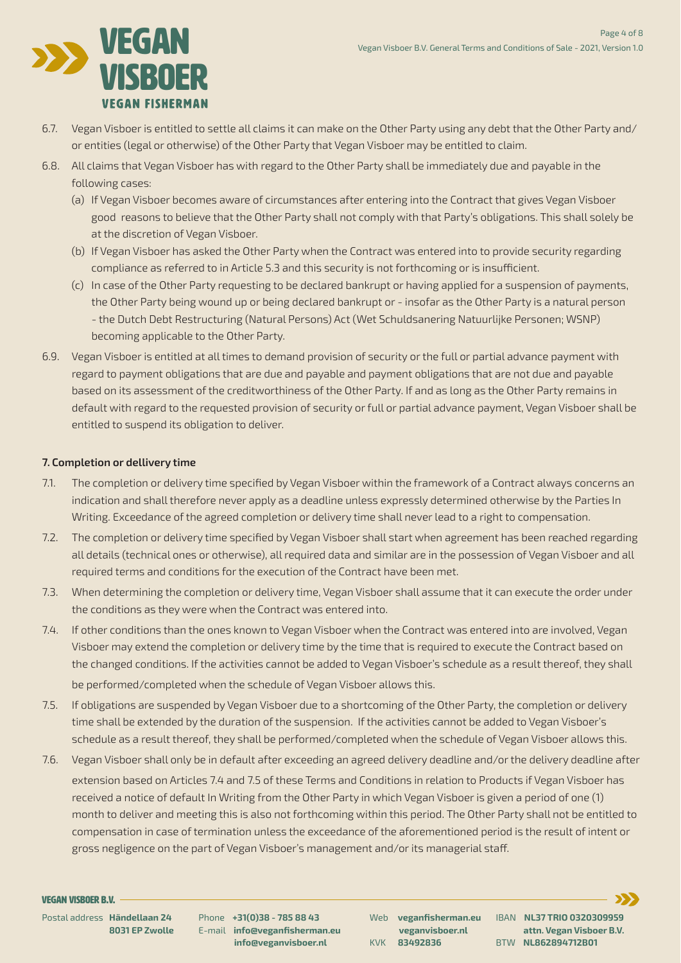

- 6.7. Vegan Visboer is entitled to settle all claims it can make on the Other Party using any debt that the Other Party and/ or entities (legal or otherwise) of the Other Party that Vegan Visboer may be entitled to claim.
- 6.8. All claims that Vegan Visboer has with regard to the Other Party shall be immediately due and payable in the following cases:
	- (a) If Vegan Visboer becomes aware of circumstances after entering into the Contract that gives Vegan Visboer good reasons to believe that the Other Party shall not comply with that Party's obligations. This shall solely be at the discretion of Vegan Visboer.

- (b) If Vegan Visboer has asked the Other Party when the Contract was entered into to provide security regarding compliance as referred to in Article 5.3 and this security is not forthcoming or is insufficient.
- (c) In case of the Other Party requesting to be declared bankrupt or having applied for a suspension of payments, the Other Party being wound up or being declared bankrupt or - insofar as the Other Party is a natural person - the Dutch Debt Restructuring (Natural Persons) Act (Wet Schuldsanering Natuurlijke Personen; WSNP) becoming applicable to the Other Party.
- 6.9. Vegan Visboer is entitled at all times to demand provision of security or the full or partial advance payment with regard to payment obligations that are due and payable and payment obligations that are not due and payable based on its assessment of the creditworthiness of the Other Party. If and as long as the Other Party remains in default with regard to the requested provision of security or full or partial advance payment, Vegan Visboer shall be entitled to suspend its obligation to deliver.

- indication and shall therefore never apply as a deadline unless expressly determined otherwise by the Parties In Writing. Exceedance of the agreed completion or delivery time shall never lead to a right to compensation.
- 7.2. The completion or delivery time specified by Vegan Visboer shall start when agreement has been reached regarding all details (technical ones or otherwise), all required data and similar are in the possession of Vegan Visboer and all required terms and conditions forthe execution of the Contract have been met.
- 7.3. When determining the completion or delivery time, Vegan Visboer shall assume that it can execute the order under the conditions as they were when the Contract was entered into.
- 7.4. If other conditions than the ones known to Vegan Visboer when the Contract was entered into are involved, Vegan Visboer may extend the completion or delivery time by the time that is required to execute the Contract based on the changed conditions. If the activities cannot be added to Vegan Visboer's schedule as a result thereof, they shall be performed/completed when the schedule of Vegan Visboer allows this.
- 7.5. If obligations are suspended by Vegan Visboer due to a shortcoming of the Other Party, the completion or delivery time shall be extended by the duration of the suspension. If the activities cannot be added to Vegan Visboer's schedule as a result thereof, they shall be performed/completed when the schedule of Vegan Visboer allows this.

# **7. Completion or dellivery time**

7.1. The completion or delivery time specified by Vegan Visboer within the framework of a Contract always concerns an

7.6. Vegan Visboer shall only be in default after exceeding an agreed delivery deadline and/or the delivery deadline after extension based on Articles 7.4 and 7.5 of these Terms and Conditions in relation to Products if Vegan Visboer has received a notice of default In Writing from the Other Party in which Vegan Visboer is given a period of one (1) month to deliver and meeting this is also not forthcoming within this period. The Other Party shall not be entitled to compensation in case of termination unless the exceedance of the aforementioned period is the result of intent or gross negligence on the part of Vegan Visboer's management and/or its managerial staff.

Page 4 of 8

Vegan Visboer B.V. General Terms and Conditions of Sale - 2021, Version 1.0

Postal address **Händellaan 24 8031 EP Zwolle** Phone **+31(0)38 - 785 88 43** E-mail **info@veganfisherman.eu info@veganvisboer.nl**

Web **veganfisherman.eu veganvisboer.nl** KVK **83492836**

IBAN **NL37 TRIO 0320309959 attn. Vegan Visboer B.V.** BTW **NL862894712B01**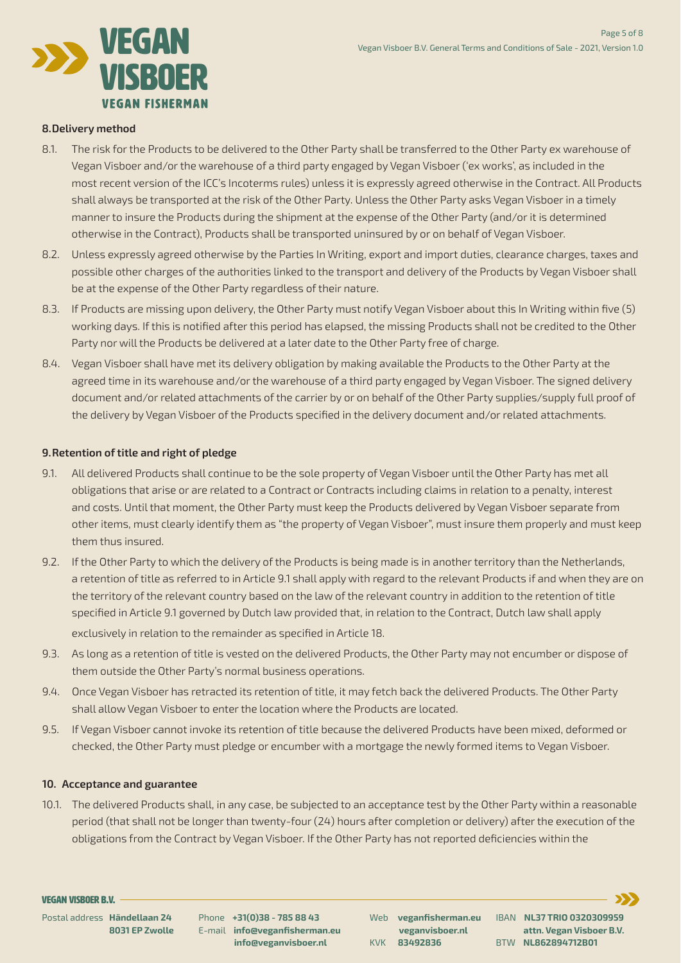

### **8. Delivery method**

- 8.1. The risk for the Products to be delivered to the Other Party shall be transferred to the Other Party ex warehouse of Vegan Visboer and/orthe warehouse of a third party engaged by Vegan Visboer ('ex works', as included in the most recent version of the ICC's Incoterms rules) unless it is expressly agreed otherwise in the Contract. All Products shall always be transported at the risk of the Other Party. Unless the Other Party asks Vegan Visboer in a timely mannerto insure the Products during the shipment at the expense of the Other Party (and/or it is determined otherwise in the Contract), Products shall be transported uninsured by or on behalf of Vegan Visboer.
- 8.2. Unless expressly agreed otherwise by the Parties In Writing, export and import duties, clearance charges, taxes and possible other charges of the authorities linked to the transport and delivery of the Products by Vegan Visboer shall be at the expense of the Other Party regardless of their nature.
- 8.3. If Products are missing upon delivery, the Other Party must notify Vegan Visboer about this In Writing within five (5) working days. If this is notified after this period has elapsed, the missing Products shall not be credited to the Other Party nor will the Products be delivered at a later date to the Other Party free of charge.
- 8.4. Vegan Visboer shall have met its delivery obligation by making available the Products to the Other Party at the agreed time in its warehouse and/orthe warehouse of a third party engaged by Vegan Visboer. The signed delivery document and/or related attachments of the carrier by or on behalf of the Other Party supplies/supply full proof of the delivery by Vegan Visboer of the Products specified in the delivery document and/or related attachments.

# **9. Retention oftitle and right of pledge**

- 9.1. All delivered Products shall continue to be the sole property of Vegan Visboer until the Other Party has met all obligations that arise or are related to a Contract or Contracts including claims in relation to a penalty, interest and costs. Until that moment, the Other Party must keep the Products delivered by Vegan Visboer separate from other items, must clearly identify them as "the property of Vegan Visboer", must insure them properly and must keep them thus insured.
- 9.2. If the Other Party to which the delivery of the Products is being made is in another territory than the Netherlands, a retention of title as referred to in Article 9.1 shall apply with regard to the relevant Products if and when they are on the territory of the relevant country based on the law of the relevant country in addition to the retention of title specified in Article 9.1 governed by Dutch law provided that, in relation to the Contract, Dutch law shall apply exclusively in relation to the remainder as specified in Article 18.
- 9.3. As long as a retention of title is vested on the delivered Products, the Other Party may not encumber or dispose of them outside the Other Party's normal business operations.
- 9.4. Once Vegan Visboer has retracted its retention of title, it may fetch back the delivered Products. The Other Party shall allow Vegan Visboerto enterthe location where the Products are located.
- 9.5. If Vegan Visboer cannot invoke its retention of title because the delivered Products have been mixed, deformed or

10.1. The delivered Products shall, in any case, be subjected to an acceptance test by the Other Party within a reasonable period (that shall not be longerthan twenty-four (24) hours after completion or delivery) afterthe execution of the obligations from the Contract by Vegan Visboer. If the Other Party has not reported deficiencies within the

 checked, the Other Party must pledge or encumber with a mortgage the newly formed items to Vegan Visboer.

### **10. Acceptance and guarantee**

Page 5 of 8

Vegan Visboer B.V. General Terms and Conditions of Sale - 2021, Version 1.0

Postal address **Händellaan 24 8031 EP Zwolle**

Phone **+31(0)38 - 785 88 43** E-mail **info@veganfisherman.eu info@veganvisboer.nl**

Web **veganfisherman.eu veganvisboer.nl** KVK **83492836**

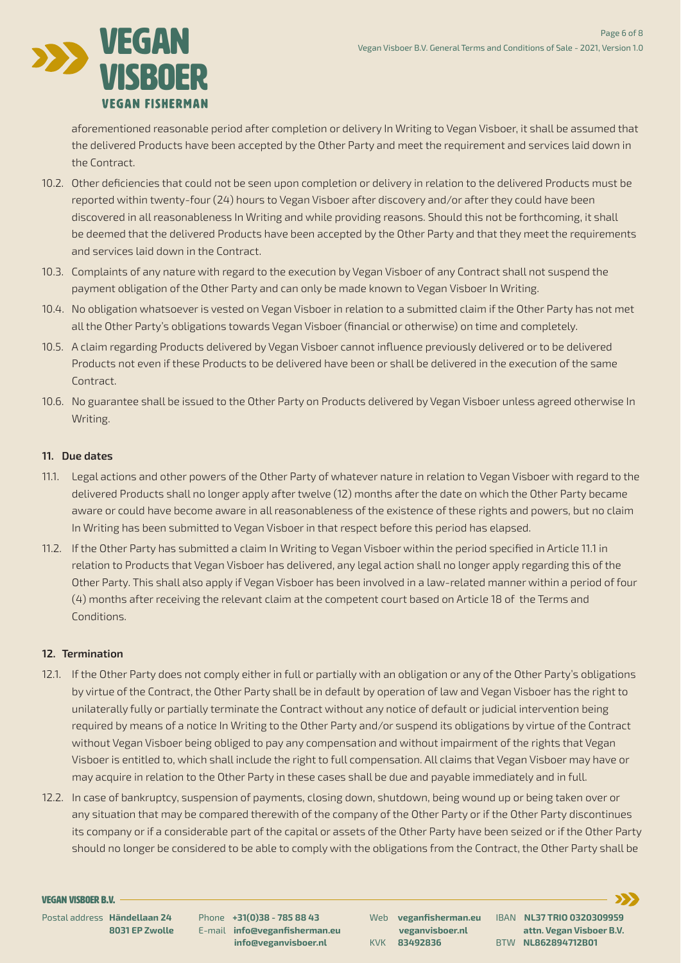

 aforementioned reasonable period after completion or delivery In Writing to Vegan Visboer, it shall be assumed that the delivered Products have been accepted by the Other Party and meet the requirement and services laid down in the Contract.

- 10.2. Other deficiencies that could not be seen upon completion or delivery in relation to the delivered Products must be reported within twenty-four (24) hours to Vegan Visboer after discovery and/or afterthey could have been discovered in all reasonableness In Writing and while providing reasons. Should this not be forthcoming, it shall be deemed that the delivered Products have been accepted by the Other Party and that they meet the requirements
	- and services laid down in the Contract.
- 10.3. Complaints of any nature with regard to the execution by Vegan Visboer of any Contract shall not suspend the payment obligation of the Other Party and can only be made known to Vegan Visboer In Writing.
- 10.4. No obligation whatsoever is vested on Vegan Visboer in relation to a submitted claim if the Other Party has not met allthe Other Party's obligations towards Vegan Visboer (financial or otherwise) on time and completely.
- 10.5. A claim regarding Products delivered by Vegan Visboer cannot influence previously delivered or to be delivered Products not even if these Products to be delivered have been or shall be delivered in the execution of the same Contract.
- 10.6. No guarantee shall be issued to the Other Party on Products delivered by Vegan Visboer unless agreed otherwise In Writing.

- 11.1. Legal actions and other powers of the Other Party of whatever nature in relation to Vegan Visboer with regard to the delivered Products shall no longer apply after twelve (12) months after the date on which the Other Party became aware or could have become aware in all reasonableness of the existence of these rights and powers, but no claim In Writing has been submitted to Vegan Visboer in that respect before this period has elapsed.
- 11.2. If the Other Party has submitted a claim In Writing to Vegan Visboer within the period specified in Article 11.1 in relation to Products that Vegan Visboer has delivered, any legal action shall no longer apply regarding this of the Other Party. This shall also apply if Vegan Visboer has been involved in a law-related manner within a period of four (4) months after receiving the relevant claim at the competent court based on Article 18 of the Terms and Conditions.

### **11. Due dates**

- 12.1. If the Other Party does not comply either in full or partially with an obligation or any of the Other Party's obligations by virtue of the Contract, the Other Party shall be in default by operation of law and Vegan Visboer has the right to unilaterally fully or partially terminate the Contract without any notice of default or judicial intervention being required by means of a notice In Writing to the Other Party and/or suspend its obligations by virtue of the Contract without Vegan Visboer being obliged to pay any compensation and without impairment of the rights that Vegan Visboer is entitled to, which shall include the right to full compensation. All claims that Vegan Visboer may have or may acquire in relation to the Other Party in these cases shall be due and payable immediately and in full.
- 12.2. In case of bankruptcy, suspension of payments, closing down, shutdown, being wound up or being taken over or any situation that may be compared therewith of the company of the Other Party or if the Other Party discontinues its company or if a considerable part of the capital or assets of the Other Party have been seized or if the Other Party should no longer be considered to be able to comply with the obligations from the Contract, the Other Party shall be

# **12. Termination**

Page 6 of 8

Vegan Visboer B.V. General Terms and Conditions of Sale - 2021, Version 1.0

Postal address **Händellaan 24 8031 EP Zwolle**

Phone **+31(0)38 - 785 88 43** E-mail **info@veganfisherman.eu info@veganvisboer.nl**

Web **veganfisherman.eu veganvisboer.nl** KVK **83492836**

IBAN **NL37 TRIO 0320309959 attn. Vegan Visboer B.V.** BTW **NL862894712B01**

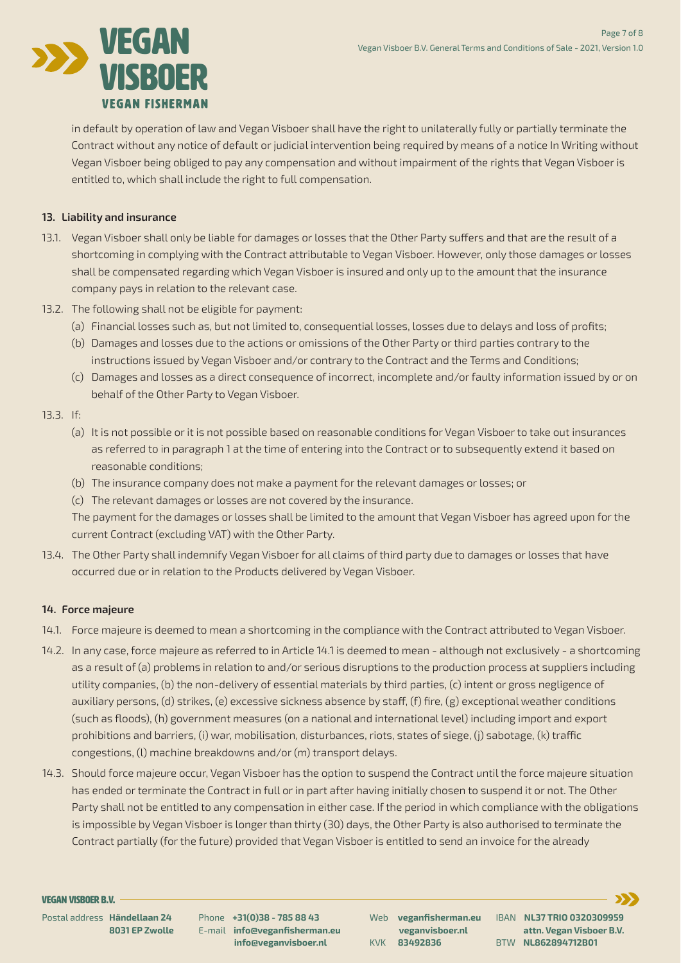

 in default by operation of law and Vegan Visboer shall have the right to unilaterally fully or partially terminate the Contract without any notice of default or judicial intervention being required by means of a notice In Writing without Vegan Visboer being obliged to pay any compensation and without impairment of the rights that Vegan Visboer is entitled to, which shall include the right to full compensation.

### **13. Liability and insurance**

13.1. Vegan Visboer shall only be liable for damages or losses that the Other Party suffers and that are the result of a

 shortcoming in complying with the Contract attributable to Vegan Visboer. However, only those damages or losses shall be compensated regarding which Vegan Visboer is insured and only up to the amount that the insurance company pays in relation to the relevant case.

- 13.2. The following shall not be eligible for payment:
	- (a) Financial losses such as, but not limited to, consequential losses, losses due to delays and loss of profits;
	- (b) Damages and losses due to the actions or omissions of the Other Party or third parties contrary to the instructions issued by Vegan Visboer and/or contrary to the Contract and the Terms and Conditions;
	- (c) Damages and losses as a direct consequence of incorrect, incomplete and/orfaulty information issued by or on behalf of the Other Party to Vegan Visboer.
- 13.3. If:
	- (a) It is not possible or it is not possible based on reasonable conditions for Vegan Visboer to take out insurances as referred to in paragraph 1 at the time of entering into the Contract or to subsequently extend it based on reasonable conditions;
	- (b) The insurance company does not make a payment for the relevant damages or losses; or

13.4. The Other Party shall indemnify Vegan Visboer for all claims of third party due to damages or losses that have occurred due or in relation to the Products delivered by Vegan Visboer.

- 14.1. Force majeure is deemed to mean a shortcoming in the compliance with the Contract attributed to Vegan Visboer.
- 14.2. In any case, force majeure as referred to in Article 14.1 is deemed to mean although not exclusively a shortcoming as a result of (a) problems in relation to and/or serious disruptions to the production process at suppliers including utility companies, (b) the non-delivery of essential materials by third parties, (c) intent or gross negligence of auxiliary persons, (d) strikes, (e) excessive sickness absence by staff, (f) fire, (g) exceptional weather conditions (such as floods), (h) government measures (on a national and international level) including import and export prohibitions and barriers, (i) war, mobilisation, disturbances, riots, states of siege, (j) sabotage, (k) traffic

 (c) The relevant damages or losses are not covered by the insurance.

14.3. Should force majeure occur, Vegan Visboer has the option to suspend the Contract until the force majeure situation has ended orterminate the Contract in full or in part after having initially chosen to suspend it or not. The Other Party shall not be entitled to any compensation in either case. If the period in which compliance with the obligations is impossible by Vegan Visboer is longerthan thirty (30) days, the Other Party is also authorised to terminate the Contract partially (forthe future) provided that Vegan Visboer is entitled to send an invoice forthe already

 The payment forthe damages or losses shall be limited to the amount that Vegan Visboer has agreed upon forthe current Contract (excluding VAT) with the Other Party.

# **14. Force majeure**

 congestions, (l) machine breakdowns and/or (m) transport delays.

Page 7 of 8

Vegan Visboer B.V. General Terms and Conditions of Sale - 2021, Version 1.0

Postal address **Händellaan 24 8031 EP Zwolle** Phone **+31(0)38 - 785 88 43** E-mail **info@veganfisherman.eu info@veganvisboer.nl**

Web **veganfisherman.eu veganvisboer.nl** KVK **83492836** IBAN **NL37 TRIO 0320309959 attn. Vegan Visboer B.V.** BTW **NL862894712B01**